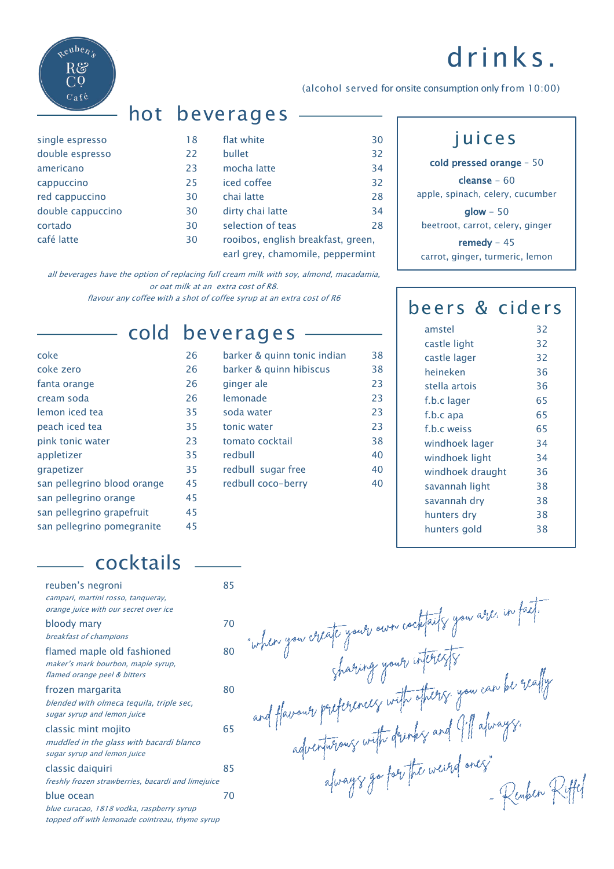# drinks.



| — hot beverages |
|-----------------|

| single espresso   |
|-------------------|
| double espresso   |
| americano         |
| cappuccino        |
| red cappuccino    |
| double cappuccino |
| cortado           |
| café latte        |

| single espresso   | 18 | flat white                                                             | 30 |
|-------------------|----|------------------------------------------------------------------------|----|
| double espresso   | 22 | bullet                                                                 | 32 |
| americano         | 23 | mocha latte                                                            | 34 |
| cappuccino        | 25 | iced coffee                                                            | 32 |
| red cappuccino    | 30 | chai latte                                                             | 28 |
| double cappuccino | 30 | dirty chai latte                                                       | 34 |
| cortado           | 30 | selection of teas                                                      | 28 |
| café latte        | 30 | rooibos, english breakfast, green,<br>earl grey, chamomile, peppermint |    |
|                   |    |                                                                        |    |

all beverages have the option of replacing full cream milk with soy, almond, macadamia, or oat milk at an extra cost of R8. flavour any coffee with a shot of coffee syrup at an extra cost of R6

| coke                        | 26 |
|-----------------------------|----|
| coke zero                   | 26 |
| fanta orange                | 26 |
| cream soda                  | 26 |
| lemon iced tea              | 35 |
| peach iced tea              | 35 |
| pink tonic water            | 23 |
| appletizer                  | 35 |
| grapetizer                  | 35 |
| san pellegrino blood orange | 45 |
| san pellegrino orange       | 45 |
| san pellegrino grapefruit   | 45 |
| san pellegrino pomegranite  | 45 |

### cold beverages

| coke                        | 26 | barker & quinn tonic indian | 38 |
|-----------------------------|----|-----------------------------|----|
| coke zero                   | 26 | barker & quinn hibiscus     | 38 |
| fanta orange                | 26 | ginger ale                  | 23 |
| cream soda                  | 26 | lemonade                    | 23 |
| lemon iced tea              | 35 | soda water                  | 23 |
| peach iced tea              | 35 | tonic water                 | 23 |
| pink tonic water            | 23 | tomato cocktail             | 38 |
| appletizer                  | 35 | redbull                     | 40 |
| grapetizer                  | 35 | redbull sugar free          | 40 |
| san pellegrino blood orange | 45 | redbull coco-berry          | 40 |
|                             |    |                             |    |

#### juices

(alcohol served for onsite consumption only from 10:00)

cold pressed orange – 50

cleanse - 60 apple, spinach, celery, cucumber

 $\mathsf{slow}$  - 50 beetroot, carrot, celery, ginger

remedy - 45 carrot, ginger, turmeric, lemon

#### beers & ciders

| amstel           | 32 |
|------------------|----|
| castle light     | 32 |
| castle lager     | 32 |
| heineken         | 36 |
| stella artois    | 36 |
| f.b.c lager      | 65 |
| f.b.c apa        | 65 |
| f.b.c weiss      | 65 |
| windhoek lager   | 34 |
| windhoek light   | 34 |
| windhoek draught | 36 |
| savannah light   | 38 |
| savannah dry     | 38 |
| hunters dry      | 38 |
| hunters gold     | 38 |
|                  |    |

- Reuben Riffel

"when you create your own cocktails you are. in fact.

sharing your inferests<br>and flavour preferences with others you can be really<br>adverturences with drinks and I'll always.<br>adverturences with drinks and I'll always.

### cocktails

| reuben's negroni                                   | 85 |
|----------------------------------------------------|----|
| campari, martini rosso, tanqueray,                 |    |
| orange juice with our secret over ice              |    |
| bloody mary                                        | 70 |
| breakfast of champions                             |    |
| flamed maple old fashioned                         | 80 |
| maker's mark bourbon, maple syrup,                 |    |
| flamed orange peel & bitters                       |    |
| frozen margarita                                   | 80 |
| blended with olmeca tequila, triple sec,           |    |
| sugar syrup and lemon juice                        |    |
| classic mint mojito                                | 65 |
| muddled in the glass with bacardi blanco           |    |
| sugar syrup and lemon juice                        |    |
| classic daiquiri                                   | 85 |
| freshly frozen strawberries, bacardi and limejuice |    |
| blue ocean                                         | 70 |
| blue curacao, 1818 vodka, raspberry syrup          |    |
| topped off with lemonade cointreau, thyme syrup    |    |